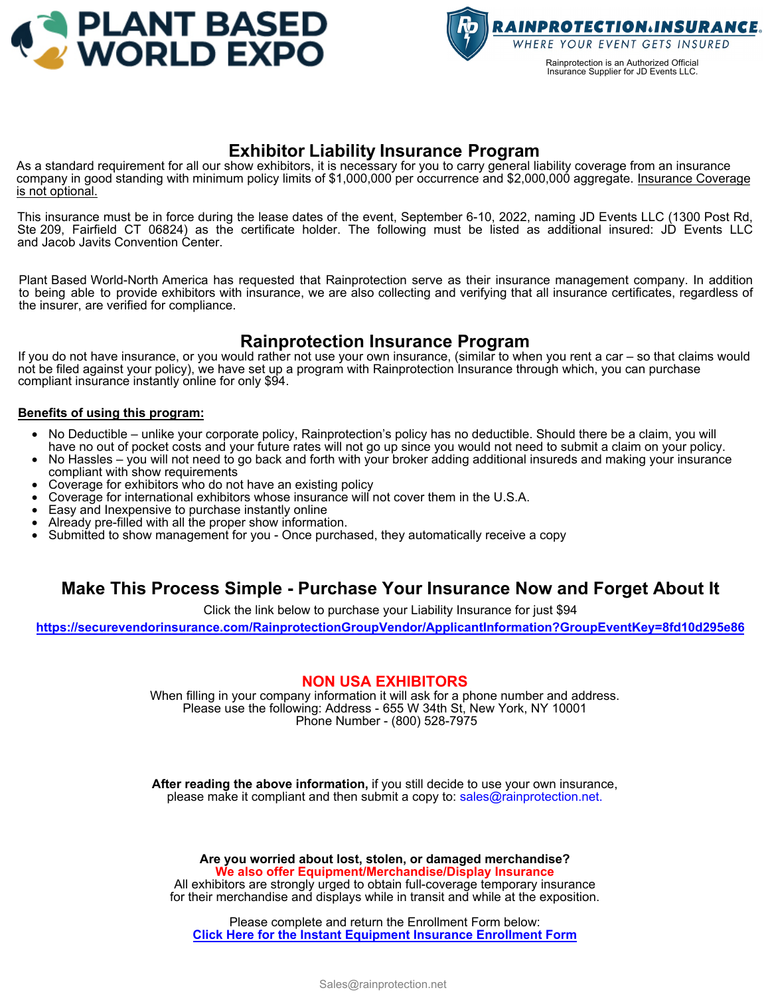



## **Exhibitor Liability Insurance Program**

As a standard requirement for all our show exhibitors, it is necessary for you to carry general liability coverage from an insurance company in good standing with minimum policy limits of \$1,000,000 per occurrence and \$2,000,000 aggregate. Insurance Coverage is not optional.

This insurance must be in force during the lease dates of the event, September 6-10, 2022, naming JD Events LLC (1300 Post Rd, Ste 209, Fairfield CT 06824) as the certificate holder. The following must be listed as additional insured: JD Events LLC and Jacob Javits Convention Center.

Plant Based World-North America has requested that Rainprotection serve as their insurance management company. In addition to being able to provide exhibitors with insurance, we are also collecting and verifying that all insurance certificates, regardless of the insurer, are verified for compliance.

# **Rainprotection Insurance Program**

If you do not have insurance, or you would rather not use your own insurance, (similar to when you rent a car – so that claims would not be filed against your policy), we have set up a program with Rainprotection Insurance through which, you can purchase compliant insurance instantly online for only \$94.

#### **Benefits of using this program:**

- No Deductible unlike your corporate policy, Rainprotection's policy has no deductible. Should there be a claim, you will have no out of pocket costs and your future rates will not go up since you would not need to submit a claim on your policy.
- No Hassles you will not need to go back and forth with your broker adding additional insureds and making your insurance compliant with show requirements
- Coverage for exhibitors who do not have an existing policy
- Coverage for international exhibitors whose insurance will not cover them in the U.S.A.
- Easy and Inexpensive to purchase instantly online
- Already pre-filled with all the proper show information.
- Submitted to show management for you Once purchased, they automatically receive a copy

### **Make This Process Simple - Purchase Your Insurance Now and Forget About It**

Click the link below to purchase your Liability Insurance for just \$94

**<https://securevendorinsurance.com/RainprotectionGroupVendor/ApplicantInformation?GroupEventKey=8fd10d295e86>**

#### **NON USA EXHIBITORS**

When filling in your company information it will ask for a phone number and address. Please use the following: Address - 655 W 34th St, New York, NY 10001 Phone Number - (800) 528-7975

**After reading the above information,** if you still decide to use your own insurance, please make it compliant and then submit a copy to: sales@rainprotection.net.

**Are you worried about lost, stolen, or damaged merchandise? We also offer Equipment/Merchandise/Display Insurance**

All exhibitors are strongly urged to obtain full-coverage temporary insurance for their merchandise and displays while in transit and while at the exposition.

Please complete and return the Enrollment Form below: **[Click Here for the Instant Equipment Insurance Enrollment Form](https://cdn.websites.hibu.com/c483fff6f42047609cac06b5bd4cfae5/DESKTOP/pdf/rainprotection+-+equipment+insurance+enrollment+form+-+short+term+%2823%29.pdf)**